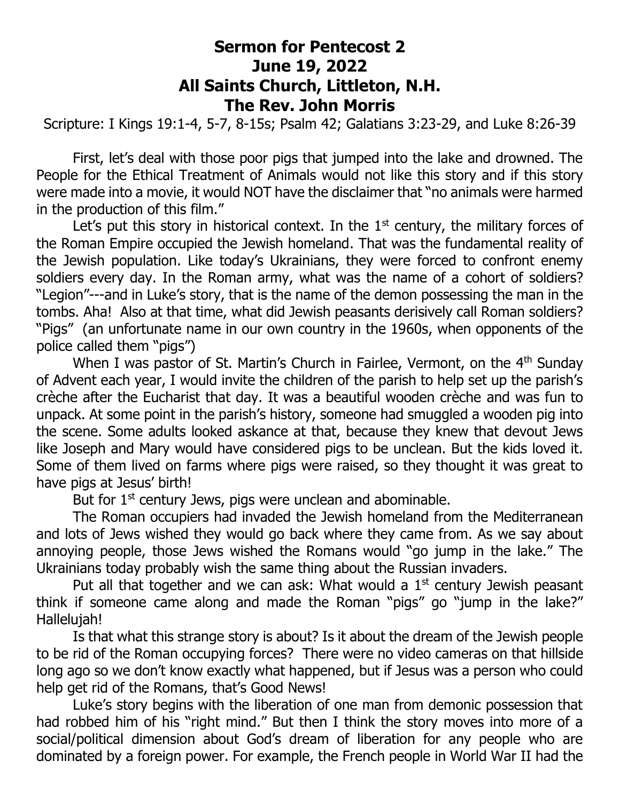## **Sermon for Pentecost 2 June 19, 2022 All Saints Church, Littleton, N.H. The Rev. John Morris**

Scripture: I Kings 19:1-4, 5-7, 8-15s; Psalm 42; Galatians 3:23-29, and Luke 8:26-39

First, let's deal with those poor pigs that jumped into the lake and drowned. The People for the Ethical Treatment of Animals would not like this story and if this story were made into a movie, it would NOT have the disclaimer that "no animals were harmed in the production of this film."

Let's put this story in historical context. In the  $1<sup>st</sup>$  century, the military forces of the Roman Empire occupied the Jewish homeland. That was the fundamental reality of the Jewish population. Like today's Ukrainians, they were forced to confront enemy soldiers every day. In the Roman army, what was the name of a cohort of soldiers? "Legion"---and in Luke's story, that is the name of the demon possessing the man in the tombs. Aha! Also at that time, what did Jewish peasants derisively call Roman soldiers? "Pigs" (an unfortunate name in our own country in the 1960s, when opponents of the police called them "pigs")

When I was pastor of St. Martin's Church in Fairlee, Vermont, on the 4<sup>th</sup> Sunday of Advent each year, I would invite the children of the parish to help set up the parish's crèche after the Eucharist that day. It was a beautiful wooden crèche and was fun to unpack. At some point in the parish's history, someone had smuggled a wooden pig into the scene. Some adults looked askance at that, because they knew that devout Jews like Joseph and Mary would have considered pigs to be unclean. But the kids loved it. Some of them lived on farms where pigs were raised, so they thought it was great to have pigs at Jesus' birth!

But for  $1<sup>st</sup>$  century Jews, pigs were unclean and abominable.

The Roman occupiers had invaded the Jewish homeland from the Mediterranean and lots of Jews wished they would go back where they came from. As we say about annoying people, those Jews wished the Romans would "go jump in the lake." The Ukrainians today probably wish the same thing about the Russian invaders.

Put all that together and we can ask: What would a  $1<sup>st</sup>$  century Jewish peasant think if someone came along and made the Roman "pigs" go "jump in the lake?" Hallelujah!

Is that what this strange story is about? Is it about the dream of the Jewish people to be rid of the Roman occupying forces? There were no video cameras on that hillside long ago so we don't know exactly what happened, but if Jesus was a person who could help get rid of the Romans, that's Good News!

Luke's story begins with the liberation of one man from demonic possession that had robbed him of his "right mind." But then I think the story moves into more of a social/political dimension about God's dream of liberation for any people who are dominated by a foreign power. For example, the French people in World War II had the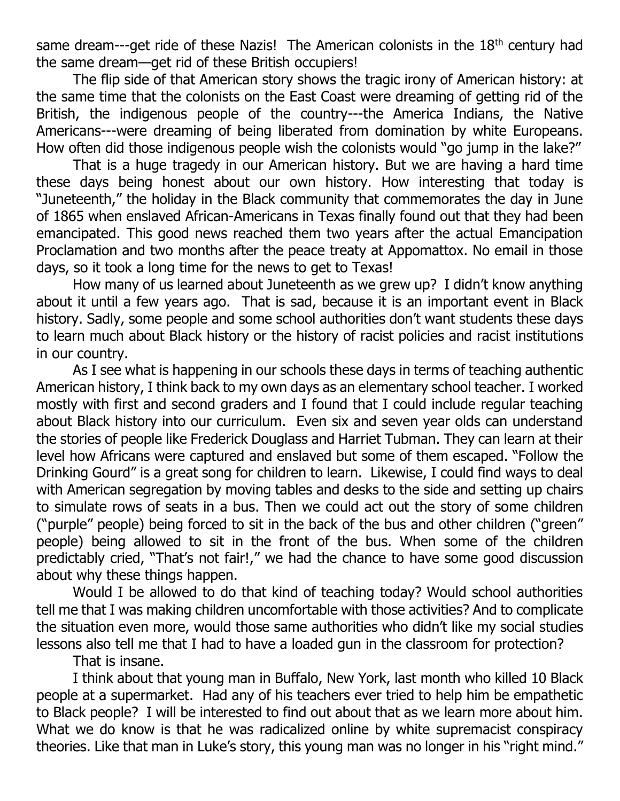same dream---get ride of these Nazis! The American colonists in the 18<sup>th</sup> century had the same dream—get rid of these British occupiers!

The flip side of that American story shows the tragic irony of American history: at the same time that the colonists on the East Coast were dreaming of getting rid of the British, the indigenous people of the country---the America Indians, the Native Americans---were dreaming of being liberated from domination by white Europeans. How often did those indigenous people wish the colonists would "go jump in the lake?"

That is a huge tragedy in our American history. But we are having a hard time these days being honest about our own history. How interesting that today is "Juneteenth," the holiday in the Black community that commemorates the day in June of 1865 when enslaved African-Americans in Texas finally found out that they had been emancipated. This good news reached them two years after the actual Emancipation Proclamation and two months after the peace treaty at Appomattox. No email in those days, so it took a long time for the news to get to Texas!

How many of us learned about Juneteenth as we grew up? I didn't know anything about it until a few years ago. That is sad, because it is an important event in Black history. Sadly, some people and some school authorities don't want students these days to learn much about Black history or the history of racist policies and racist institutions in our country.

As I see what is happening in our schools these days in terms of teaching authentic American history, I think back to my own days as an elementary school teacher. I worked mostly with first and second graders and I found that I could include regular teaching about Black history into our curriculum. Even six and seven year olds can understand the stories of people like Frederick Douglass and Harriet Tubman. They can learn at their level how Africans were captured and enslaved but some of them escaped. "Follow the Drinking Gourd" is a great song for children to learn. Likewise, I could find ways to deal with American segregation by moving tables and desks to the side and setting up chairs to simulate rows of seats in a bus. Then we could act out the story of some children ("purple" people) being forced to sit in the back of the bus and other children ("green" people) being allowed to sit in the front of the bus. When some of the children predictably cried, "That's not fair!," we had the chance to have some good discussion about why these things happen.

Would I be allowed to do that kind of teaching today? Would school authorities tell me that I was making children uncomfortable with those activities? And to complicate the situation even more, would those same authorities who didn't like my social studies lessons also tell me that I had to have a loaded gun in the classroom for protection?

That is insane.

I think about that young man in Buffalo, New York, last month who killed 10 Black people at a supermarket. Had any of his teachers ever tried to help him be empathetic to Black people? I will be interested to find out about that as we learn more about him. What we do know is that he was radicalized online by white supremacist conspiracy theories. Like that man in Luke's story, this young man was no longer in his "right mind."